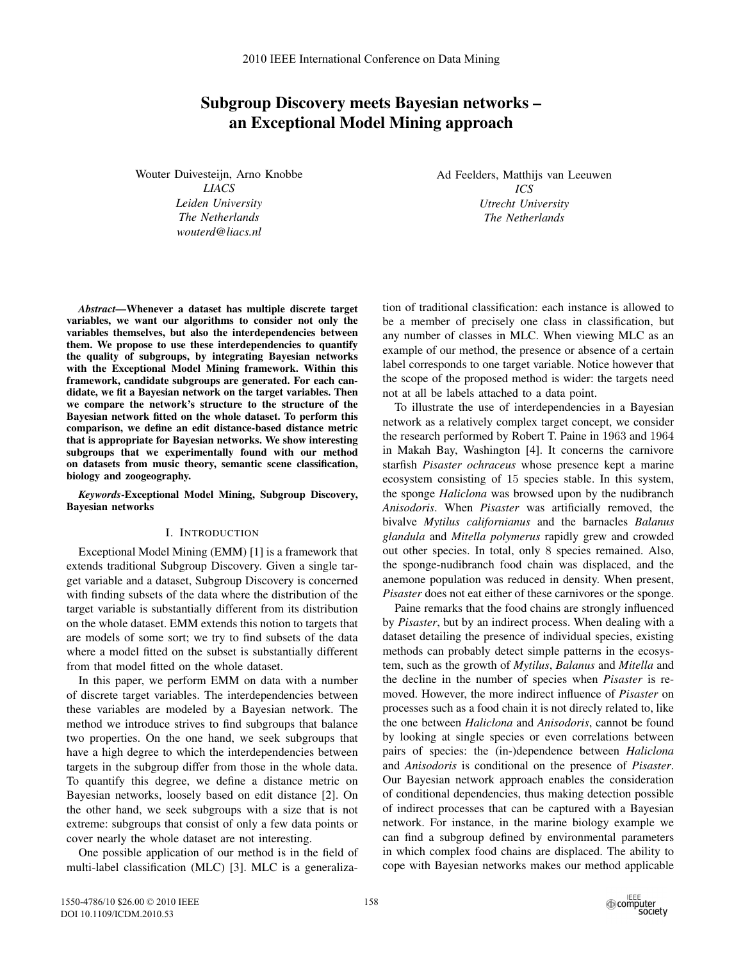# Subgroup Discovery meets Bayesian networks – an Exceptional Model Mining approach

Wouter Duivesteijn, Arno Knobbe *LIACS Leiden University The Netherlands wouterd@liacs.nl*

Ad Feelders, Matthijs van Leeuwen *ICS Utrecht University The Netherlands*

*Abstract*—Whenever a dataset has multiple discrete target variables, we want our algorithms to consider not only the variables themselves, but also the interdependencies between them. We propose to use these interdependencies to quantify the quality of subgroups, by integrating Bayesian networks with the Exceptional Model Mining framework. Within this framework, candidate subgroups are generated. For each candidate, we fit a Bayesian network on the target variables. Then we compare the network's structure to the structure of the Bayesian network fitted on the whole dataset. To perform this comparison, we define an edit distance-based distance metric that is appropriate for Bayesian networks. We show interesting subgroups that we experimentally found with our method on datasets from music theory, semantic scene classification, biology and zoogeography.

*Keywords*-Exceptional Model Mining, Subgroup Discovery, Bayesian networks

# I. INTRODUCTION

Exceptional Model Mining (EMM) [1] is a framework that extends traditional Subgroup Discovery. Given a single target variable and a dataset, Subgroup Discovery is concerned with finding subsets of the data where the distribution of the target variable is substantially different from its distribution on the whole dataset. EMM extends this notion to targets that are models of some sort; we try to find subsets of the data where a model fitted on the subset is substantially different from that model fitted on the whole dataset.

In this paper, we perform EMM on data with a number of discrete target variables. The interdependencies between these variables are modeled by a Bayesian network. The method we introduce strives to find subgroups that balance two properties. On the one hand, we seek subgroups that have a high degree to which the interdependencies between targets in the subgroup differ from those in the whole data. To quantify this degree, we define a distance metric on Bayesian networks, loosely based on edit distance [2]. On the other hand, we seek subgroups with a size that is not extreme: subgroups that consist of only a few data points or cover nearly the whole dataset are not interesting.

One possible application of our method is in the field of multi-label classification (MLC) [3]. MLC is a generaliza-

tion of traditional classification: each instance is allowed to be a member of precisely one class in classification, but any number of classes in MLC. When viewing MLC as an example of our method, the presence or absence of a certain label corresponds to one target variable. Notice however that the scope of the proposed method is wider: the targets need not at all be labels attached to a data point.

To illustrate the use of interdependencies in a Bayesian network as a relatively complex target concept, we consider the research performed by Robert T. Paine in 1963 and 1964 in Makah Bay, Washington [4]. It concerns the carnivore starfish *Pisaster ochraceus* whose presence kept a marine ecosystem consisting of 15 species stable. In this system, the sponge *Haliclona* was browsed upon by the nudibranch *Anisodoris*. When *Pisaster* was artificially removed, the bivalve *Mytilus californianus* and the barnacles *Balanus glandula* and *Mitella polymerus* rapidly grew and crowded out other species. In total, only 8 species remained. Also, the sponge-nudibranch food chain was displaced, and the anemone population was reduced in density. When present, *Pisaster* does not eat either of these carnivores or the sponge.

Paine remarks that the food chains are strongly influenced by *Pisaster*, but by an indirect process. When dealing with a dataset detailing the presence of individual species, existing methods can probably detect simple patterns in the ecosystem, such as the growth of *Mytilus*, *Balanus* and *Mitella* and the decline in the number of species when *Pisaster* is removed. However, the more indirect influence of *Pisaster* on processes such as a food chain it is not direcly related to, like the one between *Haliclona* and *Anisodoris*, cannot be found by looking at single species or even correlations between pairs of species: the (in-)dependence between *Haliclona* and *Anisodoris* is conditional on the presence of *Pisaster*. Our Bayesian network approach enables the consideration of conditional dependencies, thus making detection possible of indirect processes that can be captured with a Bayesian network. For instance, in the marine biology example we can find a subgroup defined by environmental parameters in which complex food chains are displaced. The ability to cope with Bayesian networks makes our method applicable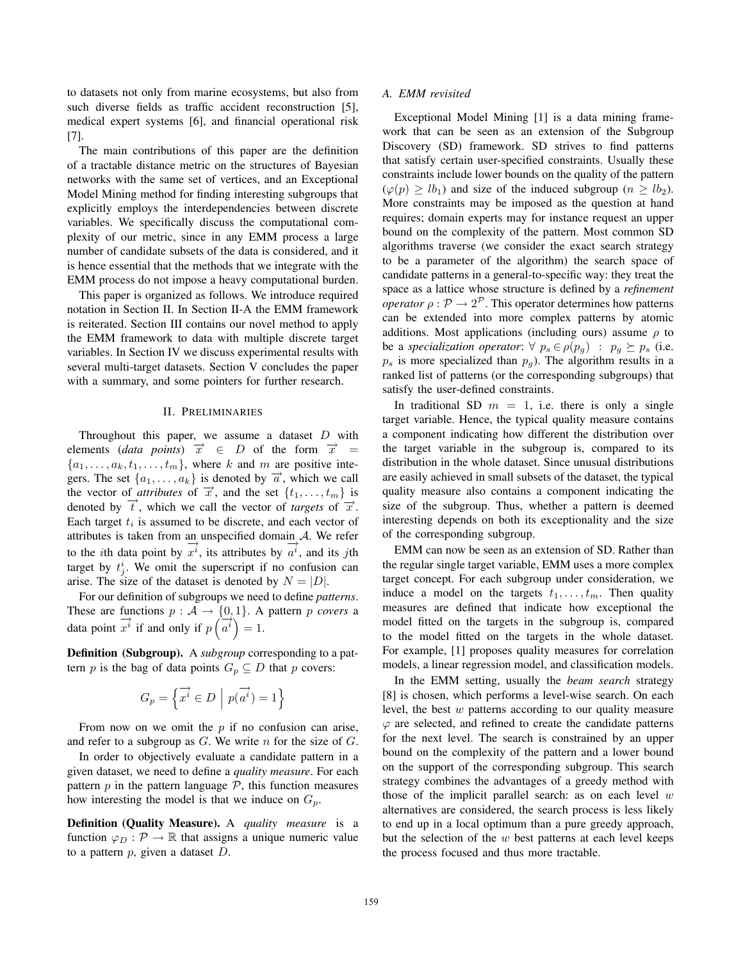to datasets not only from marine ecosystems, but also from such diverse fields as traffic accident reconstruction [5], medical expert systems [6], and financial operational risk [7].

The main contributions of this paper are the definition of a tractable distance metric on the structures of Bayesian networks with the same set of vertices, and an Exceptional Model Mining method for finding interesting subgroups that explicitly employs the interdependencies between discrete variables. We specifically discuss the computational complexity of our metric, since in any EMM process a large number of candidate subsets of the data is considered, and it is hence essential that the methods that we integrate with the EMM process do not impose a heavy computational burden.

This paper is organized as follows. We introduce required notation in Section II. In Section II-A the EMM framework is reiterated. Section III contains our novel method to apply the EMM framework to data with multiple discrete target variables. In Section IV we discuss experimental results with several multi-target datasets. Section V concludes the paper with a summary, and some pointers for further research.

#### II. PRELIMINARIES

Throughout this paper, we assume a dataset  $D$  with elements (*data points*)  $\vec{x} \in D$  of the form  $\vec{x} =$  $\{a_1, \ldots, a_k, t_1, \ldots, t_m\}$ , where k and m are positive integers. The set  $\{a_1, \ldots, a_k\}$  is denoted by  $\overrightarrow{a}$ , which we call the vector of *attributes* of  $\vec{x}$ , and the set  $\{t_1, \ldots, t_m\}$  is denoted by  $\overrightarrow{t}$ , which we call the vector of *targets* of  $\overrightarrow{x}$ . Each target  $t_i$  is assumed to be discrete, and each vector of attributes is taken from an unspecified domain  $\mathcal{A}$ . We refer to the *i*th data point by  $x^i$ , its attributes by  $a^i$ , and its *j*th target by  $t_j^i$ . We omit the superscript if no confusion can arise. The size of the dataset is denoted by  $N = |D|$ .

For our definition of subgroups we need to define *patterns*. These are functions  $p : A \rightarrow \{0, 1\}$ . A pattern p *covers* a data point  $\stackrel{\text{tot}}{\rightarrow}$  $\overrightarrow{x}$  if and only if  $p\left(\overrightarrow{a}^{i}\right) = 1$ .

Definition (Subgroup). A *subgroup* corresponding to a pattern p is the bag of data points  $G_p \subseteq D$  that p covers:

$$
G_p = \left\{ \overrightarrow{x^i} \in D \, \left| \, p(\overrightarrow{a^i}) = 1 \right. \right\}
$$

From now on we omit the  $p$  if no confusion can arise, and refer to a subgroup as  $G$ . We write n for the size of  $G$ .

In order to objectively evaluate a candidate pattern in a given dataset, we need to define a *quality measure*. For each pattern  $p$  in the pattern language  $P$ , this function measures how interesting the model is that we induce on  $G_p$ .

Definition (Quality Measure). A *quality measure* is a function  $\varphi_D : \mathcal{P} \to \mathbb{R}$  that assigns a unique numeric value to a pattern  $p$ , given a dataset  $D$ .

## *A. EMM revisited*

Exceptional Model Mining [1] is a data mining framework that can be seen as an extension of the Subgroup Discovery (SD) framework. SD strives to find patterns that satisfy certain user-specified constraints. Usually these constraints include lower bounds on the quality of the pattern  $(\varphi(p) \geq lb_1)$  and size of the induced subgroup  $(n \geq lb_2)$ . More constraints may be imposed as the question at hand requires; domain experts may for instance request an upper bound on the complexity of the pattern. Most common SD algorithms traverse (we consider the exact search strategy to be a parameter of the algorithm) the search space of candidate patterns in a general-to-specific way: they treat the space as a lattice whose structure is defined by a *refinement operator*  $\rho$  :  $\mathcal{P} \rightarrow 2^{\mathcal{P}}$ . This operator determines how patterns can be extended into more complex patterns by atomic additions. Most applications (including ours) assume  $\rho$  to be a *specialization operator*:  $\forall p_s \in \rho(p_q)$ :  $p_q \succeq p_s$  (i.e.  $p<sub>s</sub>$  is more specialized than  $p<sub>q</sub>$ ). The algorithm results in a ranked list of patterns (or the corresponding subgroups) that satisfy the user-defined constraints.

In traditional SD  $m = 1$ , i.e. there is only a single target variable. Hence, the typical quality measure contains a component indicating how different the distribution over the target variable in the subgroup is, compared to its distribution in the whole dataset. Since unusual distributions are easily achieved in small subsets of the dataset, the typical quality measure also contains a component indicating the size of the subgroup. Thus, whether a pattern is deemed interesting depends on both its exceptionality and the size of the corresponding subgroup.

EMM can now be seen as an extension of SD. Rather than the regular single target variable, EMM uses a more complex target concept. For each subgroup under consideration, we induce a model on the targets  $t_1, \ldots, t_m$ . Then quality measures are defined that indicate how exceptional the model fitted on the targets in the subgroup is, compared to the model fitted on the targets in the whole dataset. For example, [1] proposes quality measures for correlation models, a linear regression model, and classification models.

In the EMM setting, usually the *beam search* strategy [8] is chosen, which performs a level-wise search. On each level, the best w patterns according to our quality measure  $\varphi$  are selected, and refined to create the candidate patterns for the next level. The search is constrained by an upper bound on the complexity of the pattern and a lower bound on the support of the corresponding subgroup. This search strategy combines the advantages of a greedy method with those of the implicit parallel search: as on each level  $w$ alternatives are considered, the search process is less likely to end up in a local optimum than a pure greedy approach, but the selection of the  $w$  best patterns at each level keeps the process focused and thus more tractable.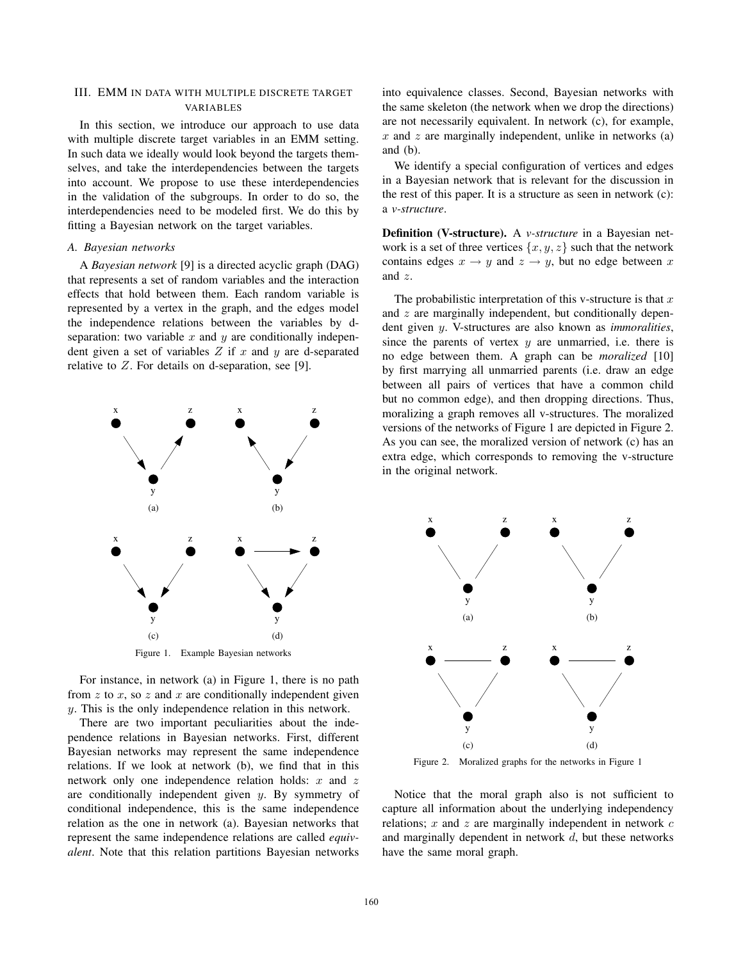# III. EMM IN DATA WITH MULTIPLE DISCRETE TARGET VARIABLES

In this section, we introduce our approach to use data with multiple discrete target variables in an EMM setting. In such data we ideally would look beyond the targets themselves, and take the interdependencies between the targets into account. We propose to use these interdependencies in the validation of the subgroups. In order to do so, the interdependencies need to be modeled first. We do this by fitting a Bayesian network on the target variables.

#### *A. Bayesian networks*

A *Bayesian network* [9] is a directed acyclic graph (DAG) that represents a set of random variables and the interaction effects that hold between them. Each random variable is represented by a vertex in the graph, and the edges model the independence relations between the variables by dseparation: two variable  $x$  and  $y$  are conditionally independent given a set of variables  $Z$  if  $x$  and  $y$  are d-separated relative to Z. For details on d-separation, see [9].



For instance, in network (a) in Figure 1, there is no path from  $z$  to  $x$ , so  $z$  and  $x$  are conditionally independent given y. This is the only independence relation in this network.

There are two important peculiarities about the independence relations in Bayesian networks. First, different Bayesian networks may represent the same independence relations. If we look at network (b), we find that in this network only one independence relation holds:  $x$  and  $z$ are conditionally independent given  $y$ . By symmetry of conditional independence, this is the same independence relation as the one in network (a). Bayesian networks that represent the same independence relations are called *equivalent*. Note that this relation partitions Bayesian networks

into equivalence classes. Second, Bayesian networks with the same skeleton (the network when we drop the directions) are not necessarily equivalent. In network (c), for example,  $x$  and  $z$  are marginally independent, unlike in networks (a) and (b).

We identify a special configuration of vertices and edges in a Bayesian network that is relevant for the discussion in the rest of this paper. It is a structure as seen in network (c): a *v-structure*.

Definition (V-structure). A *v-structure* in a Bayesian network is a set of three vertices  $\{x, y, z\}$  such that the network contains edges  $x \to y$  and  $z \to y$ , but no edge between x and z.

The probabilistic interpretation of this v-structure is that  $x$ and z are marginally independent, but conditionally dependent given y. V-structures are also known as *immoralities*, since the parents of vertex  $y$  are unmarried, i.e. there is no edge between them. A graph can be *moralized* [10] by first marrying all unmarried parents (i.e. draw an edge between all pairs of vertices that have a common child but no common edge), and then dropping directions. Thus, moralizing a graph removes all v-structures. The moralized versions of the networks of Figure 1 are depicted in Figure 2. As you can see, the moralized version of network (c) has an extra edge, which corresponds to removing the v-structure in the original network.



Figure 2. Moralized graphs for the networks in Figure 1

Notice that the moral graph also is not sufficient to capture all information about the underlying independency relations;  $x$  and  $z$  are marginally independent in network  $c$ and marginally dependent in network  $d$ , but these networks have the same moral graph.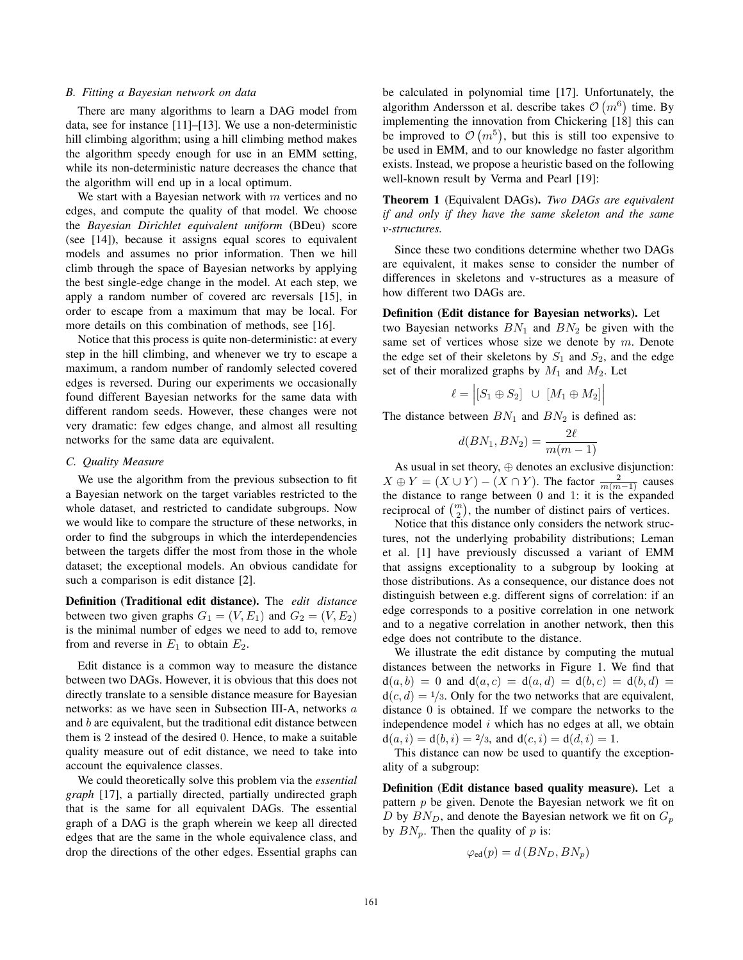### *B. Fitting a Bayesian network on data*

There are many algorithms to learn a DAG model from data, see for instance [11]–[13]. We use a non-deterministic hill climbing algorithm; using a hill climbing method makes the algorithm speedy enough for use in an EMM setting, while its non-deterministic nature decreases the chance that the algorithm will end up in a local optimum.

We start with a Bayesian network with  $m$  vertices and no edges, and compute the quality of that model. We choose the *Bayesian Dirichlet equivalent uniform* (BDeu) score (see [14]), because it assigns equal scores to equivalent models and assumes no prior information. Then we hill climb through the space of Bayesian networks by applying the best single-edge change in the model. At each step, we apply a random number of covered arc reversals [15], in order to escape from a maximum that may be local. For more details on this combination of methods, see [16].

Notice that this process is quite non-deterministic: at every step in the hill climbing, and whenever we try to escape a maximum, a random number of randomly selected covered edges is reversed. During our experiments we occasionally found different Bayesian networks for the same data with different random seeds. However, these changes were not very dramatic: few edges change, and almost all resulting networks for the same data are equivalent.

# *C. Quality Measure*

We use the algorithm from the previous subsection to fit a Bayesian network on the target variables restricted to the whole dataset, and restricted to candidate subgroups. Now we would like to compare the structure of these networks, in order to find the subgroups in which the interdependencies between the targets differ the most from those in the whole dataset; the exceptional models. An obvious candidate for such a comparison is edit distance [2].

Definition (Traditional edit distance). The *edit distance* between two given graphs  $G_1 = (V, E_1)$  and  $G_2 = (V, E_2)$ is the minimal number of edges we need to add to, remove from and reverse in  $E_1$  to obtain  $E_2$ .

Edit distance is a common way to measure the distance between two DAGs. However, it is obvious that this does not directly translate to a sensible distance measure for Bayesian networks: as we have seen in Subsection III-A, networks a and b are equivalent, but the traditional edit distance between them is 2 instead of the desired 0. Hence, to make a suitable quality measure out of edit distance, we need to take into account the equivalence classes.

We could theoretically solve this problem via the *essential graph* [17], a partially directed, partially undirected graph that is the same for all equivalent DAGs. The essential graph of a DAG is the graph wherein we keep all directed edges that are the same in the whole equivalence class, and drop the directions of the other edges. Essential graphs can be calculated in polynomial time [17]. Unfortunately, the algorithm Andersson et al. describe takes  $\mathcal{O}(m^6)$  time. By implementing the innovation from Chickering [18] this can be improved to  $\mathcal{O}(m^5)$ , but this is still too expensive to be used in EMM, and to our knowledge no faster algorithm exists. Instead, we propose a heuristic based on the following well-known result by Verma and Pearl [19]:

Theorem 1 (Equivalent DAGs). *Two DAGs are equivalent if and only if they have the same skeleton and the same v-structures.*

Since these two conditions determine whether two DAGs are equivalent, it makes sense to consider the number of differences in skeletons and v-structures as a measure of how different two DAGs are.

Definition (Edit distance for Bayesian networks). Let two Bayesian networks  $BN<sub>1</sub>$  and  $BN<sub>2</sub>$  be given with the same set of vertices whose size we denote by  $m$ . Denote the edge set of their skeletons by  $S_1$  and  $S_2$ , and the edge set of their moralized graphs by  $M_1$  and  $M_2$ . Let

$$
\ell = |[S_1 \oplus S_2] \cup [M_1 \oplus M_2]|
$$

The distance between  $BN_1$  and  $BN_2$  is defined as:

$$
d(BN_1, BN_2) = \frac{2\ell}{m(m-1)}
$$

As usual in set theory, ⊕ denotes an exclusive disjunction:  $X \oplus Y = (X \cup Y) - (X \cap Y)$ . The factor  $\frac{2}{m(m-1)}$  causes the distance to range between 0 and 1: it is the expanded reciprocal of  $\binom{m}{2}$ , the number of distinct pairs of vertices.

Notice that this distance only considers the network structures, not the underlying probability distributions; Leman et al. [1] have previously discussed a variant of EMM that assigns exceptionality to a subgroup by looking at those distributions. As a consequence, our distance does not distinguish between e.g. different signs of correlation: if an edge corresponds to a positive correlation in one network and to a negative correlation in another network, then this edge does not contribute to the distance.

We illustrate the edit distance by computing the mutual distances between the networks in Figure 1. We find that  $d(a, b) = 0$  and  $d(a, c) = d(a, d) = d(b, c) = d(b, d) =$  $d(c, d) = 1/3$ . Only for the two networks that are equivalent, distance 0 is obtained. If we compare the networks to the independence model  $i$  which has no edges at all, we obtain  $d(a, i) = d(b, i) = \frac{2}{3}$ , and  $d(c, i) = d(d, i) = 1$ .

This distance can now be used to quantify the exceptionality of a subgroup:

Definition (Edit distance based quality measure). Let a pattern  $p$  be given. Denote the Bayesian network we fit on D by  $BN_D$ , and denote the Bayesian network we fit on  $G_p$ by  $BN_p$ . Then the quality of p is:

$$
\varphi_{\rm ed}(p) = d\left(BN_D, BN_p\right)
$$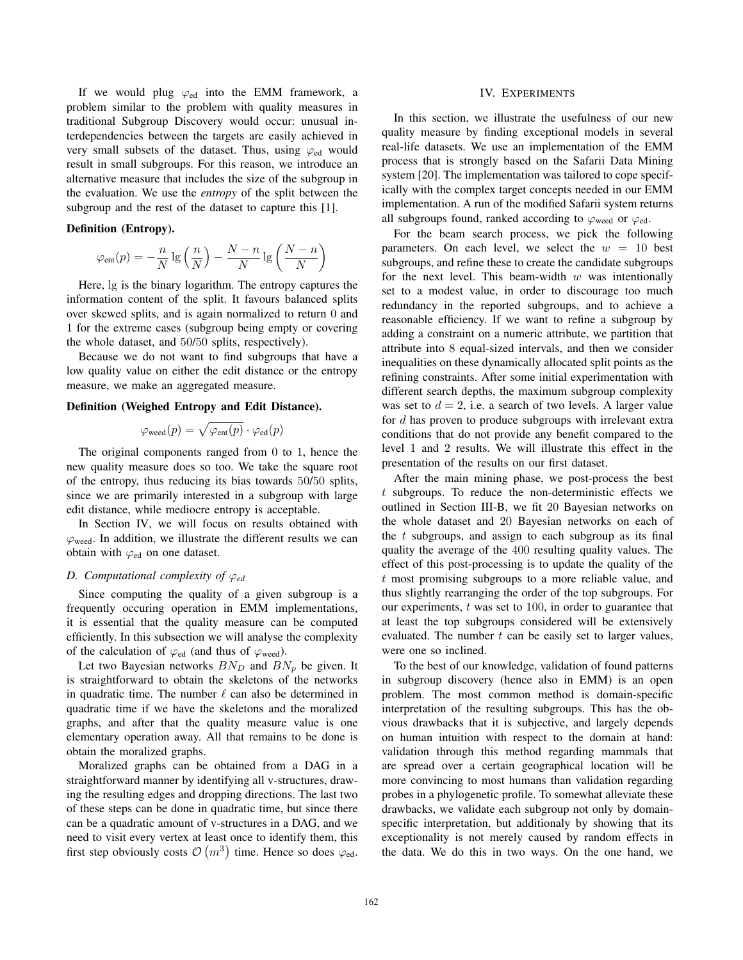If we would plug  $\varphi_{ed}$  into the EMM framework, a problem similar to the problem with quality measures in traditional Subgroup Discovery would occur: unusual interdependencies between the targets are easily achieved in very small subsets of the dataset. Thus, using  $\varphi_{\rm ed}$  would result in small subgroups. For this reason, we introduce an alternative measure that includes the size of the subgroup in the evaluation. We use the *entropy* of the split between the subgroup and the rest of the dataset to capture this [1].

#### Definition (Entropy).

$$
\varphi_{\text{ent}}(p) = -\frac{n}{N} \lg\left(\frac{n}{N}\right) - \frac{N-n}{N} \lg\left(\frac{N-n}{N}\right)
$$

Here, lg is the binary logarithm. The entropy captures the information content of the split. It favours balanced splits over skewed splits, and is again normalized to return 0 and 1 for the extreme cases (subgroup being empty or covering the whole dataset, and 50/50 splits, respectively).

Because we do not want to find subgroups that have a low quality value on either the edit distance or the entropy measure, we make an aggregated measure.

### Definition (Weighed Entropy and Edit Distance).

$$
\varphi_{\text{weed}}(p) = \sqrt{\varphi_{\text{ent}}(p)} \cdot \varphi_{\text{ed}}(p)
$$

The original components ranged from 0 to 1, hence the new quality measure does so too. We take the square root of the entropy, thus reducing its bias towards 50/50 splits, since we are primarily interested in a subgroup with large edit distance, while mediocre entropy is acceptable.

In Section IV, we will focus on results obtained with  $\varphi$ <sub>weed</sub>. In addition, we illustrate the different results we can obtain with  $\varphi_{\rm ed}$  on one dataset.

#### *D.* Computational complexity of  $\varphi_{ed}$

Since computing the quality of a given subgroup is a frequently occuring operation in EMM implementations, it is essential that the quality measure can be computed efficiently. In this subsection we will analyse the complexity of the calculation of  $\varphi_{\text{ed}}$  (and thus of  $\varphi_{\text{weed}}$ ).

Let two Bayesian networks  $BN_D$  and  $BN_p$  be given. It is straightforward to obtain the skeletons of the networks in quadratic time. The number  $\ell$  can also be determined in quadratic time if we have the skeletons and the moralized graphs, and after that the quality measure value is one elementary operation away. All that remains to be done is obtain the moralized graphs.

Moralized graphs can be obtained from a DAG in a straightforward manner by identifying all v-structures, drawing the resulting edges and dropping directions. The last two of these steps can be done in quadratic time, but since there can be a quadratic amount of v-structures in a DAG, and we need to visit every vertex at least once to identify them, this first step obviously costs  $\mathcal{O}(m^3)$  time. Hence so does  $\varphi_{\text{ed}}$ .

### IV. EXPERIMENTS

In this section, we illustrate the usefulness of our new quality measure by finding exceptional models in several real-life datasets. We use an implementation of the EMM process that is strongly based on the Safarii Data Mining system [20]. The implementation was tailored to cope specifically with the complex target concepts needed in our EMM implementation. A run of the modified Safarii system returns all subgroups found, ranked according to  $\varphi_{\text{weed}}$  or  $\varphi_{\text{ed}}$ .

For the beam search process, we pick the following parameters. On each level, we select the  $w = 10$  best subgroups, and refine these to create the candidate subgroups for the next level. This beam-width  $w$  was intentionally set to a modest value, in order to discourage too much redundancy in the reported subgroups, and to achieve a reasonable efficiency. If we want to refine a subgroup by adding a constraint on a numeric attribute, we partition that attribute into 8 equal-sized intervals, and then we consider inequalities on these dynamically allocated split points as the refining constraints. After some initial experimentation with different search depths, the maximum subgroup complexity was set to  $d = 2$ , i.e. a search of two levels. A larger value for  $d$  has proven to produce subgroups with irrelevant extra conditions that do not provide any benefit compared to the level 1 and 2 results. We will illustrate this effect in the presentation of the results on our first dataset.

After the main mining phase, we post-process the best  $t$  subgroups. To reduce the non-deterministic effects we outlined in Section III-B, we fit 20 Bayesian networks on the whole dataset and 20 Bayesian networks on each of the  $t$  subgroups, and assign to each subgroup as its final quality the average of the 400 resulting quality values. The effect of this post-processing is to update the quality of the t most promising subgroups to a more reliable value, and thus slightly rearranging the order of the top subgroups. For our experiments,  $t$  was set to 100, in order to guarantee that at least the top subgroups considered will be extensively evaluated. The number  $t$  can be easily set to larger values, were one so inclined.

To the best of our knowledge, validation of found patterns in subgroup discovery (hence also in EMM) is an open problem. The most common method is domain-specific interpretation of the resulting subgroups. This has the obvious drawbacks that it is subjective, and largely depends on human intuition with respect to the domain at hand: validation through this method regarding mammals that are spread over a certain geographical location will be more convincing to most humans than validation regarding probes in a phylogenetic profile. To somewhat alleviate these drawbacks, we validate each subgroup not only by domainspecific interpretation, but additionaly by showing that its exceptionality is not merely caused by random effects in the data. We do this in two ways. On the one hand, we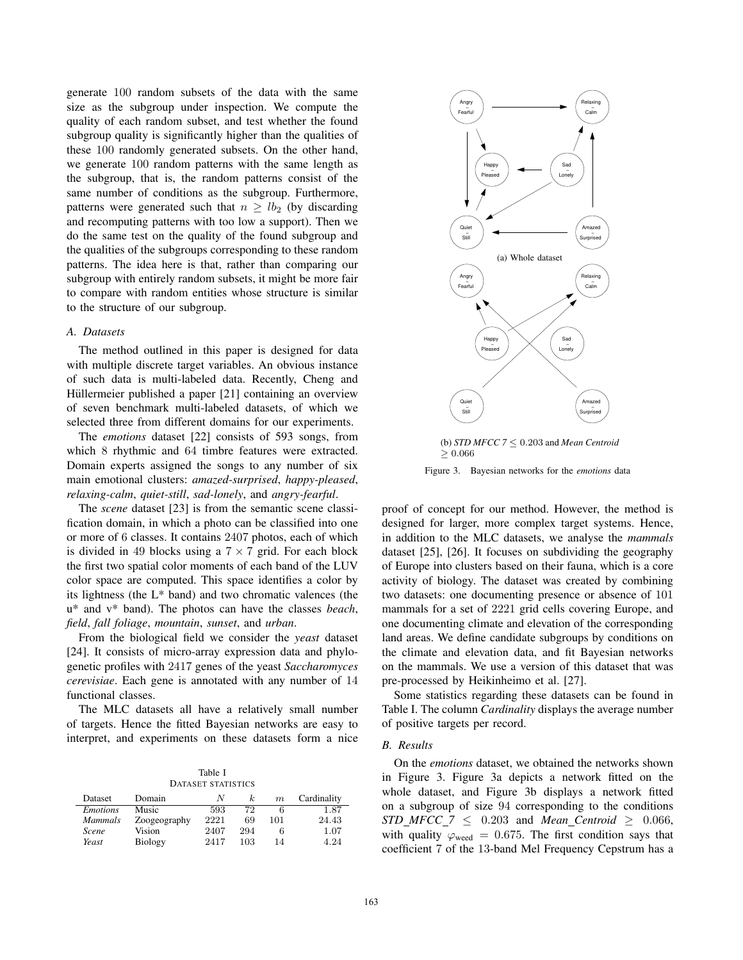generate 100 random subsets of the data with the same size as the subgroup under inspection. We compute the quality of each random subset, and test whether the found subgroup quality is significantly higher than the qualities of these 100 randomly generated subsets. On the other hand, we generate 100 random patterns with the same length as the subgroup, that is, the random patterns consist of the same number of conditions as the subgroup. Furthermore, patterns were generated such that  $n \geq lb_2$  (by discarding and recomputing patterns with too low a support). Then we do the same test on the quality of the found subgroup and the qualities of the subgroups corresponding to these random patterns. The idea here is that, rather than comparing our subgroup with entirely random subsets, it might be more fair to compare with random entities whose structure is similar to the structure of our subgroup.

#### *A. Datasets*

The method outlined in this paper is designed for data with multiple discrete target variables. An obvious instance of such data is multi-labeled data. Recently, Cheng and Hüllermeier published a paper [21] containing an overview of seven benchmark multi-labeled datasets, of which we selected three from different domains for our experiments.

The *emotions* dataset [22] consists of 593 songs, from which 8 rhythmic and 64 timbre features were extracted. Domain experts assigned the songs to any number of six main emotional clusters: *amazed-surprised*, *happy-pleased*, *relaxing-calm*, *quiet-still*, *sad-lonely*, and *angry-fearful*.

The *scene* dataset [23] is from the semantic scene classification domain, in which a photo can be classified into one or more of 6 classes. It contains 2407 photos, each of which is divided in 49 blocks using a  $7 \times 7$  grid. For each block the first two spatial color moments of each band of the LUV color space are computed. This space identifies a color by its lightness (the L\* band) and two chromatic valences (the u\* and v\* band). The photos can have the classes *beach*, *field*, *fall foliage*, *mountain*, *sunset*, and *urban*.

From the biological field we consider the *yeast* dataset [24]. It consists of micro-array expression data and phylogenetic profiles with 2417 genes of the yeast *Saccharomyces cerevisiae*. Each gene is annotated with any number of 14 functional classes.

The MLC datasets all have a relatively small number of targets. Hence the fitted Bayesian networks are easy to interpret, and experiments on these datasets form a nice

| Table I<br>DATASET STATISTICS |                |      |     |                  |             |  |  |  |  |  |
|-------------------------------|----------------|------|-----|------------------|-------------|--|--|--|--|--|
| <b>Dataset</b>                | Domain         | N    | k.  | $\boldsymbol{m}$ | Cardinality |  |  |  |  |  |
| <b>Emotions</b>               | Music          | 593  | 72  | 6                | 1.87        |  |  |  |  |  |
| Mammals                       | Zoogeography   | 2221 | 69  | 101              | 24.43       |  |  |  |  |  |
| Scene                         | Vision         | 2407 | 294 | 6                | 1.07        |  |  |  |  |  |
| Yeast                         | <b>Biology</b> | 2417 | 103 | 14               | 4.24        |  |  |  |  |  |



Figure 3. Bayesian networks for the *emotions* data

proof of concept for our method. However, the method is designed for larger, more complex target systems. Hence, in addition to the MLC datasets, we analyse the *mammals* dataset [25], [26]. It focuses on subdividing the geography of Europe into clusters based on their fauna, which is a core activity of biology. The dataset was created by combining two datasets: one documenting presence or absence of 101 mammals for a set of 2221 grid cells covering Europe, and one documenting climate and elevation of the corresponding land areas. We define candidate subgroups by conditions on the climate and elevation data, and fit Bayesian networks on the mammals. We use a version of this dataset that was pre-processed by Heikinheimo et al. [27].

Some statistics regarding these datasets can be found in Table I. The column *Cardinality* displays the average number of positive targets per record.

#### *B. Results*

On the *emotions* dataset, we obtained the networks shown in Figure 3. Figure 3a depicts a network fitted on the whole dataset, and Figure 3b displays a network fitted on a subgroup of size 94 corresponding to the conditions  $STD_MFCC_7 \leq 0.203$  and *Mean\_Centroid*  $\geq 0.066$ , with quality  $\varphi_{\text{weed}} = 0.675$ . The first condition says that coefficient 7 of the 13-band Mel Frequency Cepstrum has a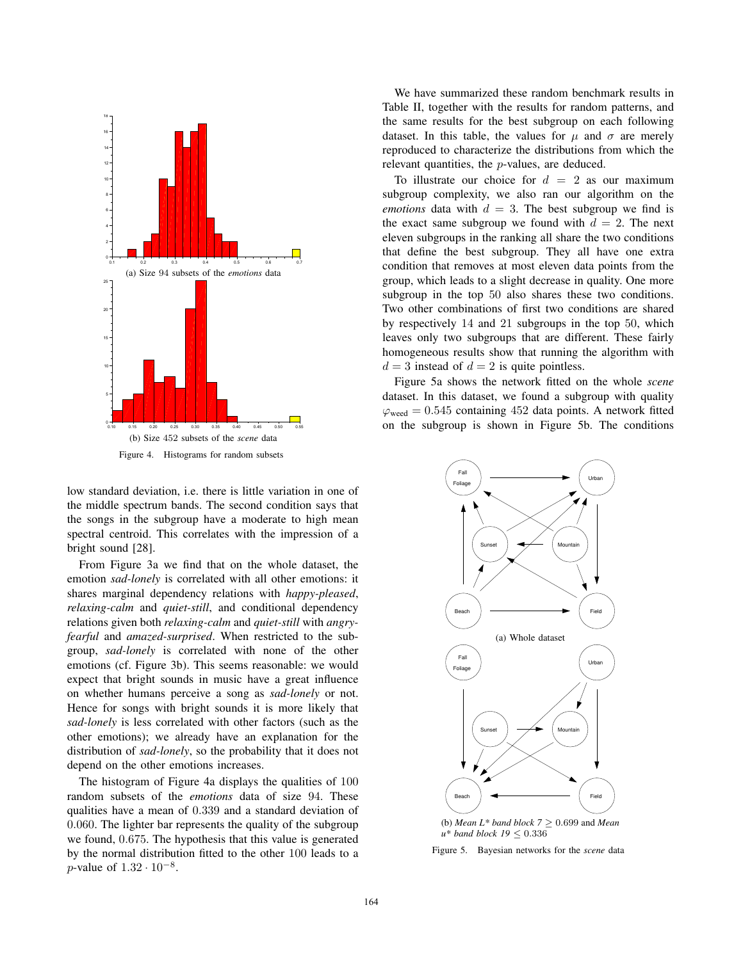

Figure 4. Histograms for random subsets

low standard deviation, i.e. there is little variation in one of the middle spectrum bands. The second condition says that the songs in the subgroup have a moderate to high mean spectral centroid. This correlates with the impression of a bright sound [28].

From Figure 3a we find that on the whole dataset, the emotion *sad-lonely* is correlated with all other emotions: it shares marginal dependency relations with *happy-pleased*, *relaxing-calm* and *quiet-still*, and conditional dependency relations given both *relaxing-calm* and *quiet-still* with *angryfearful* and *amazed-surprised*. When restricted to the subgroup, *sad-lonely* is correlated with none of the other emotions (cf. Figure 3b). This seems reasonable: we would expect that bright sounds in music have a great influence on whether humans perceive a song as *sad-lonely* or not. Hence for songs with bright sounds it is more likely that *sad-lonely* is less correlated with other factors (such as the other emotions); we already have an explanation for the distribution of *sad-lonely*, so the probability that it does not depend on the other emotions increases.

The histogram of Figure 4a displays the qualities of 100 random subsets of the *emotions* data of size 94. These qualities have a mean of 0.339 and a standard deviation of 0.060. The lighter bar represents the quality of the subgroup we found, 0.675. The hypothesis that this value is generated by the normal distribution fitted to the other 100 leads to a *p*-value of  $1.32 \cdot 10^{-8}$ .

We have summarized these random benchmark results in Table II, together with the results for random patterns, and the same results for the best subgroup on each following dataset. In this table, the values for  $\mu$  and  $\sigma$  are merely reproduced to characterize the distributions from which the relevant quantities, the p-values, are deduced.

To illustrate our choice for  $d = 2$  as our maximum subgroup complexity, we also ran our algorithm on the *emotions* data with  $d = 3$ . The best subgroup we find is the exact same subgroup we found with  $d = 2$ . The next eleven subgroups in the ranking all share the two conditions that define the best subgroup. They all have one extra condition that removes at most eleven data points from the group, which leads to a slight decrease in quality. One more subgroup in the top 50 also shares these two conditions. Two other combinations of first two conditions are shared by respectively 14 and 21 subgroups in the top 50, which leaves only two subgroups that are different. These fairly homogeneous results show that running the algorithm with  $d = 3$  instead of  $d = 2$  is quite pointless.

Figure 5a shows the network fitted on the whole *scene* dataset. In this dataset, we found a subgroup with quality  $\varphi_{\text{weed}} = 0.545$  containing 452 data points. A network fitted on the subgroup is shown in Figure 5b. The conditions



*u\* band block 19* ≤ 0.336

Figure 5. Bayesian networks for the *scene* data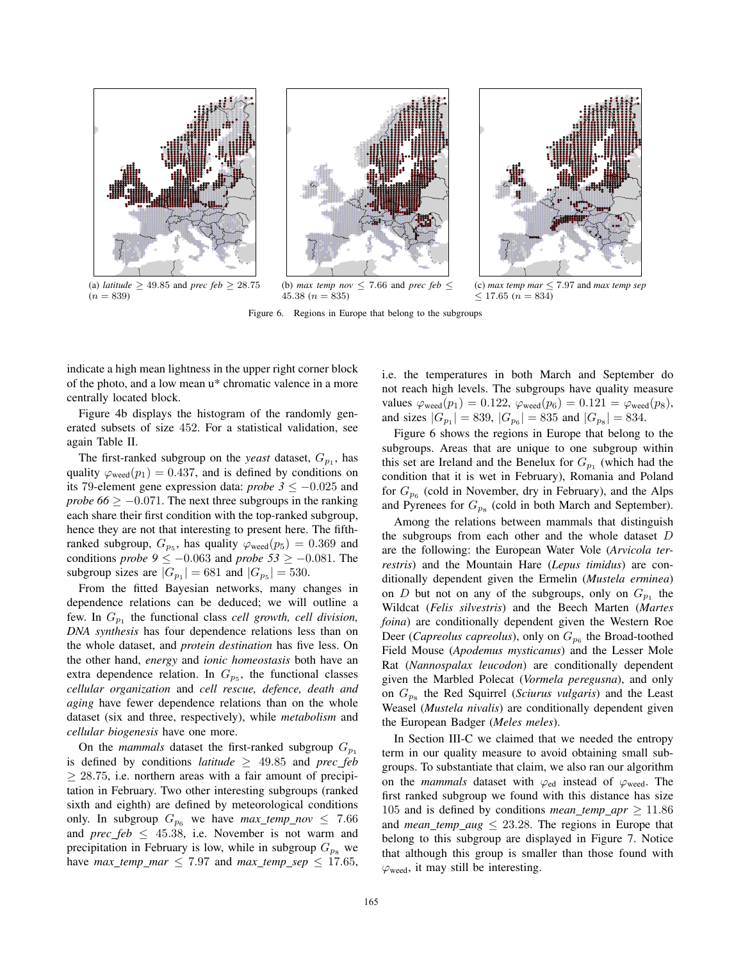

(a) *latitude*  $\geq$  49.85 and *prec feb*  $\geq$  28.75  $(n = 839)$ 



(b) *max temp nov*  $\leq$  7.66 and *prec feb*  $\leq$  $45.38 (n = 835)$ 



(c) *max temp mar*  $\leq 7.97$  and *max temp sep*  $\leq 17.65$  ( $n = 834$ )

Figure 6. Regions in Europe that belong to the subgroups

indicate a high mean lightness in the upper right corner block of the photo, and a low mean u\* chromatic valence in a more centrally located block.

Figure 4b displays the histogram of the randomly generated subsets of size 452. For a statistical validation, see again Table II.

The first-ranked subgroup on the *yeast* dataset,  $G_{p_1}$ , has quality  $\varphi_{\text{weed}}(p_1) = 0.437$ , and is defined by conditions on its 79-element gene expression data: *probe*  $3 \le -0.025$  and *probe*  $66 \ge -0.071$ . The next three subgroups in the ranking each share their first condition with the top-ranked subgroup, hence they are not that interesting to present here. The fifthranked subgroup,  $G_{p_5}$ , has quality  $\varphi_{\text{weed}}(p_5) = 0.369$  and conditions *probe*  $9 \le -0.063$  and *probe*  $53 \ge -0.081$ . The subgroup sizes are  $|G_{p_1}| = 681$  and  $|G_{p_5}| = 530$ .

From the fitted Bayesian networks, many changes in dependence relations can be deduced; we will outline a few. In  $G_{p_1}$  the functional class *cell growth, cell division, DNA synthesis* has four dependence relations less than on the whole dataset, and *protein destination* has five less. On the other hand, *energy* and *ionic homeostasis* both have an extra dependence relation. In  $G_{p_5}$ , the functional classes *cellular organization* and *cell rescue, defence, death and aging* have fewer dependence relations than on the whole dataset (six and three, respectively), while *metabolism* and *cellular biogenesis* have one more.

On the *mammals* dataset the first-ranked subgroup  $G_{n_1}$ is defined by conditions *latitude*  $\geq$  49.85 and *prec\_feb*  $> 28.75$ , i.e. northern areas with a fair amount of precipitation in February. Two other interesting subgroups (ranked sixth and eighth) are defined by meteorological conditions only. In subgroup  $G_{p6}$  we have  $max\_temp\_nov \leq 7.66$ and  $prec\_feb \leq 45.38$ , i.e. November is not warm and precipitation in February is low, while in subgroup  $G_{p8}$  we have *max\_temp\_mar*  $\leq 7.97$  and *max\_temp\_sep*  $\leq 17.65$ ,

i.e. the temperatures in both March and September do not reach high levels. The subgroups have quality measure values  $\varphi_{\text{weed}}(p_1) = 0.122$ ,  $\varphi_{\text{weed}}(p_6) = 0.121 = \varphi_{\text{weed}}(p_8)$ , and sizes  $|G_{p_1}| = 839, |G_{p_6}| = 835$  and  $|G_{p_8}| = 834$ .

Figure 6 shows the regions in Europe that belong to the subgroups. Areas that are unique to one subgroup within this set are Ireland and the Benelux for  $G_{p_1}$  (which had the condition that it is wet in February), Romania and Poland for  $G_{p6}$  (cold in November, dry in February), and the Alps and Pyrenees for  $G_{p_8}$  (cold in both March and September).

Among the relations between mammals that distinguish the subgroups from each other and the whole dataset D are the following: the European Water Vole (*Arvicola terrestris*) and the Mountain Hare (*Lepus timidus*) are conditionally dependent given the Ermelin (*Mustela erminea*) on D but not on any of the subgroups, only on  $G_{p_1}$  the Wildcat (*Felis silvestris*) and the Beech Marten (*Martes foina*) are conditionally dependent given the Western Roe Deer (*Capreolus capreolus*), only on  $G_{p_6}$  the Broad-toothed Field Mouse (*Apodemus mysticanus*) and the Lesser Mole Rat (*Nannospalax leucodon*) are conditionally dependent given the Marbled Polecat (*Vormela peregusna*), and only on  $G_{p8}$  the Red Squirrel (*Sciurus vulgaris*) and the Least Weasel (*Mustela nivalis*) are conditionally dependent given the European Badger (*Meles meles*).

In Section III-C we claimed that we needed the entropy term in our quality measure to avoid obtaining small subgroups. To substantiate that claim, we also ran our algorithm on the *mammals* dataset with  $\varphi_{ed}$  instead of  $\varphi_{\text{weed}}$ . The first ranked subgroup we found with this distance has size 105 and is defined by conditions *mean\_temp\_apr*  $\geq 11.86$ and *mean\_temp\_aug*  $\leq$  23.28. The regions in Europe that belong to this subgroup are displayed in Figure 7. Notice that although this group is smaller than those found with  $\varphi$ <sub>weed</sub>, it may still be interesting.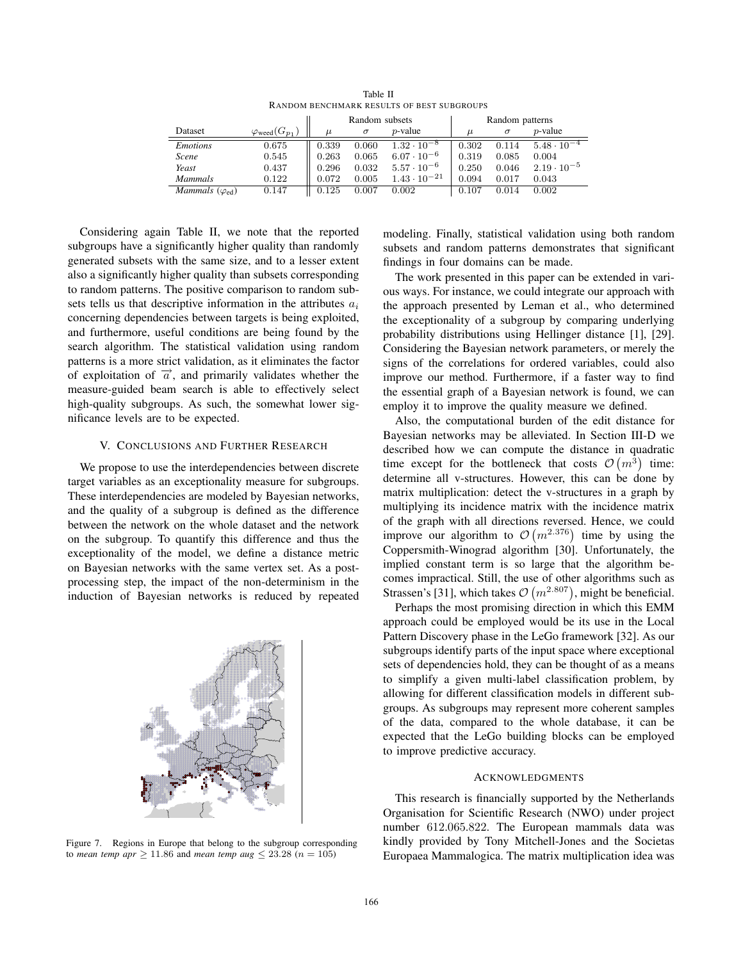|                                 |                                  | Random subsets |          |                       | Random patterns |          |                      |
|---------------------------------|----------------------------------|----------------|----------|-----------------------|-----------------|----------|----------------------|
| Dataset                         | $\varphi_{\text{weed}}(G_{p_1})$ | $\mu$          | $\sigma$ | $p$ -value            | $\mu$           | $\sigma$ | $p$ -value           |
| <b>Emotions</b>                 | 0.675                            | 0.339          | 0.060    | $1.32 \cdot 10^{-8}$  | 0.302           | 0.114    | $5.48 \cdot 10^{-4}$ |
| Scene                           | 0.545                            | 0.263          | 0.065    | $6.07 \cdot 10^{-6}$  | 0.319           | 0.085    | 0.004                |
| Yeast                           | 0.437                            | 0.296          | 0.032    | $5.57 \cdot 10^{-6}$  | 0.250           | 0.046    | $2.19 \cdot 10^{-5}$ |
| <b>Mammals</b>                  | 0.122                            | 0.072          | 0.005    | $1.43 \cdot 10^{-21}$ | 0.094           | 0.017    | 0.043                |
| Mammals $(\varphi_{\text{ed}})$ | 0.147                            | 0.125          | 0.007    | 0.002                 | 0.107           | 0.014    | 0.002                |

Table II RANDOM BENCHMARK RESULTS OF BEST SUBGROUPS

Considering again Table II, we note that the reported subgroups have a significantly higher quality than randomly generated subsets with the same size, and to a lesser extent also a significantly higher quality than subsets corresponding to random patterns. The positive comparison to random subsets tells us that descriptive information in the attributes  $a_i$ concerning dependencies between targets is being exploited, and furthermore, useful conditions are being found by the search algorithm. The statistical validation using random patterns is a more strict validation, as it eliminates the factor of exploitation of  $\vec{a}$ , and primarily validates whether the measure-guided beam search is able to effectively select high-quality subgroups. As such, the somewhat lower significance levels are to be expected.

# V. CONCLUSIONS AND FURTHER RESEARCH

We propose to use the interdependencies between discrete target variables as an exceptionality measure for subgroups. These interdependencies are modeled by Bayesian networks, and the quality of a subgroup is defined as the difference between the network on the whole dataset and the network on the subgroup. To quantify this difference and thus the exceptionality of the model, we define a distance metric on Bayesian networks with the same vertex set. As a postprocessing step, the impact of the non-determinism in the induction of Bayesian networks is reduced by repeated



Figure 7. Regions in Europe that belong to the subgroup corresponding to *mean temp apr*  $\geq$  11.86 and *mean temp aug*  $\leq$  23.28 ( $n = 105$ )

modeling. Finally, statistical validation using both random subsets and random patterns demonstrates that significant findings in four domains can be made.

The work presented in this paper can be extended in various ways. For instance, we could integrate our approach with the approach presented by Leman et al., who determined the exceptionality of a subgroup by comparing underlying probability distributions using Hellinger distance [1], [29]. Considering the Bayesian network parameters, or merely the signs of the correlations for ordered variables, could also improve our method. Furthermore, if a faster way to find the essential graph of a Bayesian network is found, we can employ it to improve the quality measure we defined.

Also, the computational burden of the edit distance for Bayesian networks may be alleviated. In Section III-D we described how we can compute the distance in quadratic time except for the bottleneck that costs  $\mathcal{O}(m^3)$  time: determine all v-structures. However, this can be done by matrix multiplication: detect the v-structures in a graph by multiplying its incidence matrix with the incidence matrix of the graph with all directions reversed. Hence, we could improve our algorithm to  $\mathcal{O}(m^{2.376})$  time by using the Coppersmith-Winograd algorithm [30]. Unfortunately, the implied constant term is so large that the algorithm becomes impractical. Still, the use of other algorithms such as Strassen's [31], which takes  $\mathcal{O}(m^{2.807})$ , might be beneficial.

Perhaps the most promising direction in which this EMM approach could be employed would be its use in the Local Pattern Discovery phase in the LeGo framework [32]. As our subgroups identify parts of the input space where exceptional sets of dependencies hold, they can be thought of as a means to simplify a given multi-label classification problem, by allowing for different classification models in different subgroups. As subgroups may represent more coherent samples of the data, compared to the whole database, it can be expected that the LeGo building blocks can be employed to improve predictive accuracy.

#### ACKNOWLEDGMENTS

This research is financially supported by the Netherlands Organisation for Scientific Research (NWO) under project number 612.065.822. The European mammals data was kindly provided by Tony Mitchell-Jones and the Societas Europaea Mammalogica. The matrix multiplication idea was